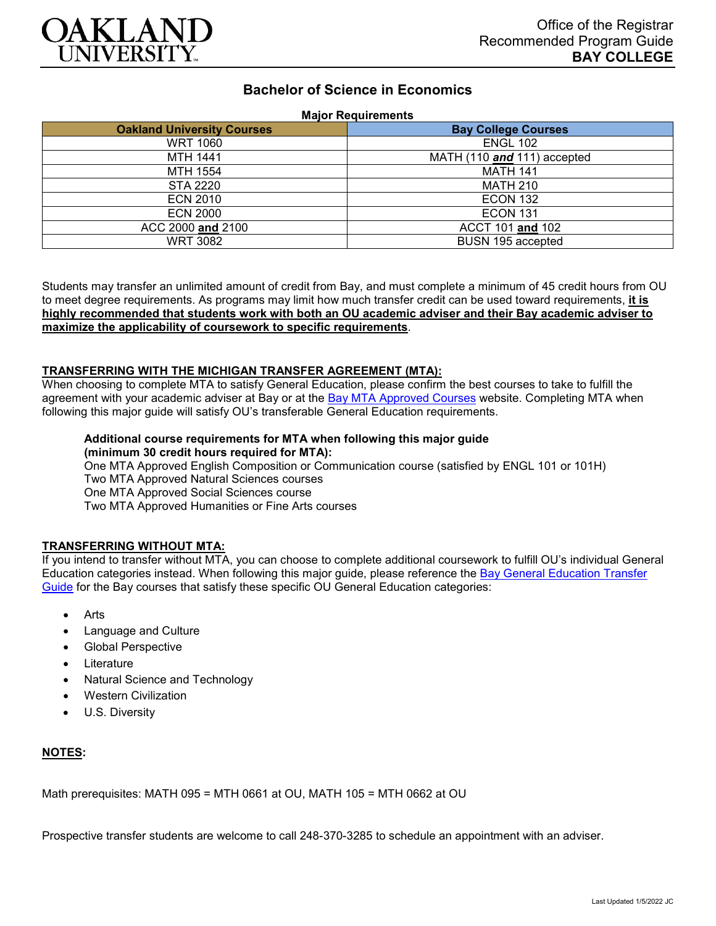

# **Bachelor of Science in Economics**

#### **Major Requirements**

| <b>Oakland University Courses</b> | <b>Bay College Courses</b>  |
|-----------------------------------|-----------------------------|
| <b>WRT 1060</b>                   | <b>ENGL 102</b>             |
| <b>MTH 1441</b>                   | MATH (110 and 111) accepted |
| MTH 1554                          | <b>MATH 141</b>             |
| <b>STA 2220</b>                   | <b>MATH 210</b>             |
| <b>ECN 2010</b>                   | <b>ECON 132</b>             |
| <b>ECN 2000</b>                   | <b>ECON 131</b>             |
| ACC 2000 and 2100                 | ACCT 101 and 102            |
| <b>WRT 3082</b>                   | BUSN 195 accepted           |

Students may transfer an unlimited amount of credit from Bay, and must complete a minimum of 45 credit hours from OU to meet degree requirements. As programs may limit how much transfer credit can be used toward requirements, **it is highly recommended that students work with both an OU academic adviser and their Bay academic adviser to maximize the applicability of coursework to specific requirements**.

### **TRANSFERRING WITH THE MICHIGAN TRANSFER AGREEMENT (MTA):**

When choosing to complete MTA to satisfy General Education, please confirm the best courses to take to fulfill the agreement with your academic adviser at Bay or at the **[Bay MTA Approved Courses](https://www.baycollege.edu/admissions/transfer/transfer-agreements.php)** website. Completing MTA when following this major guide will satisfy OU's transferable General Education requirements.

### **Additional course requirements for MTA when following this major guide (minimum 30 credit hours required for MTA):**

One MTA Approved English Composition or Communication course (satisfied by ENGL 101 or 101H) Two MTA Approved Natural Sciences courses One MTA Approved Social Sciences course Two MTA Approved Humanities or Fine Arts courses

### **TRANSFERRING WITHOUT MTA:**

If you intend to transfer without MTA, you can choose to complete additional coursework to fulfill OU's individual General Education categories instead. When following this major guide, please reference the [Bay General Education Transfer](https://www.oakland.edu/Assets/Oakland/program-guides/bay-college/university-general-education-requirements/Bay%20Gen%20Ed.pdf)  [Guide](https://www.oakland.edu/Assets/Oakland/program-guides/bay-college/university-general-education-requirements/Bay%20Gen%20Ed.pdf) for the Bay courses that satisfy these specific OU General Education categories:

- Arts
- Language and Culture
- Global Perspective
- **Literature**
- Natural Science and Technology
- Western Civilization
- U.S. Diversity

### **NOTES:**

Math prerequisites: MATH 095 = MTH 0661 at OU, MATH 105 = MTH 0662 at OU

Prospective transfer students are welcome to call 248-370-3285 to schedule an appointment with an adviser.